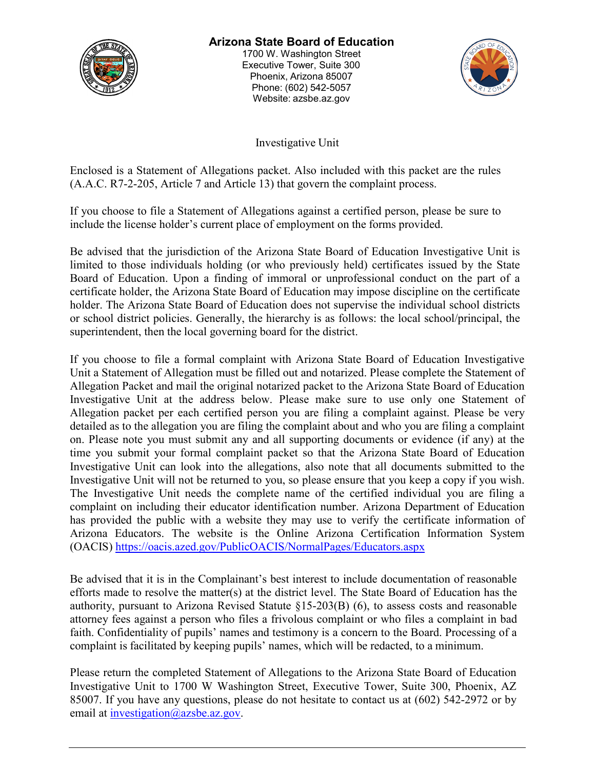

# **Arizona State Board of Education**

1700 W. Washington Street Executive Tower, Suite 300 Phoenix, Arizona 85007 Phone: (602) 542-5057 Website: azsbe.az.gov



Investigative Unit

Enclosed is a Statement of Allegations packet. Also included with this packet are the rules (A.A.C. R7-2-205, Article 7 and Article 13) that govern the complaint process.

If you choose to file a Statement of Allegations against a certified person, please be sure to include the license holder's current place of employment on the forms provided.

Be advised that the jurisdiction of the Arizona State Board of Education Investigative Unit is limited to those individuals holding (or who previously held) certificates issued by the State Board of Education. Upon a finding of immoral or unprofessional conduct on the part of a certificate holder, the Arizona State Board of Education may impose discipline on the certificate holder. The Arizona State Board of Education does not supervise the individual school districts or school district policies. Generally, the hierarchy is as follows: the local school/principal, the superintendent, then the local governing board for the district.

If you choose to file a formal complaint with Arizona State Board of Education Investigative Unit a Statement of Allegation must be filled out and notarized. Please complete the Statement of Allegation Packet and mail the original notarized packet to the Arizona State Board of Education Investigative Unit at the address below. Please make sure to use only one Statement of Allegation packet per each certified person you are filing a complaint against. Please be very detailed as to the allegation you are filing the complaint about and who you are filing a complaint on. Please note you must submit any and all supporting documents or evidence (if any) at the time you submit your formal complaint packet so that the Arizona State Board of Education Investigative Unit can look into the allegations, also note that all documents submitted to the Investigative Unit will not be returned to you, so please ensure that you keep a copy if you wish. The Investigative Unit needs the complete name of the certified individual you are filing a complaint on including their educator identification number. Arizona Department of Education has provided the public with a website they may use to verify the certificate information of Arizona Educators. The website is the Online Arizona Certification Information System (OACIS) <https://oacis.azed.gov/PublicOACIS/NormalPages/Educators.aspx>

Be advised that it is in the Complainant's best interest to include documentation of reasonable efforts made to resolve the matter(s) at the district level. The State Board of Education has the authority, pursuant to Arizona Revised Statute §15-203(B) (6), to assess costs and reasonable attorney fees against a person who files a frivolous complaint or who files a complaint in bad faith. Confidentiality of pupils' names and testimony is a concern to the Board. Processing of a complaint is facilitated by keeping pupils' names, which will be redacted, to a minimum.

Please return the completed Statement of Allegations to the Arizona State Board of Education Investigative Unit to 1700 W Washington Street, Executive Tower, Suite 300, Phoenix, AZ 85007. If you have any questions, please do not hesitate to contact us at (602) 542-2972 or by email at [investigation@azsbe.az.gov.](mailto:investigation@azsbe.az.gov)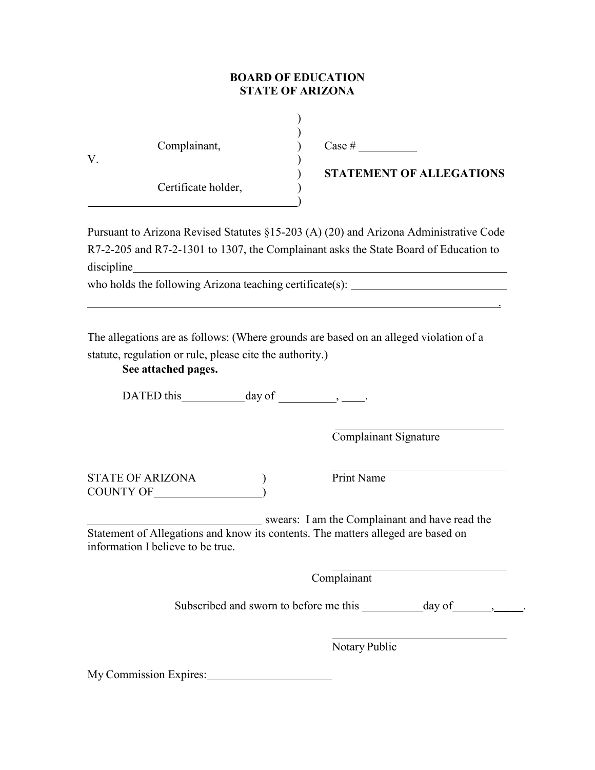# **BOARD OF EDUCATION STATE OF ARIZONA**

)

 $\begin{pmatrix} 1 \\ 2 \end{pmatrix}$ 

| V. | Complainant,        |  |
|----|---------------------|--|
|    | Certificate holder, |  |

Case #

) **STATEMENT OF ALLEGATIONS**

.

Pursuant to Arizona Revised Statutes §15-203 (A) (20) and Arizona Administrative Code R7-2-205 and R7-2-1301 to 1307, the Complainant asks the State Board of Education to discipline

)

who holds the following Arizona teaching certificate(s): \_\_\_\_\_\_\_\_\_\_\_\_\_\_\_\_\_\_\_\_\_\_\_\_

The allegations are as follows: (Where grounds are based on an alleged violation of a

statute, regulation or rule, please cite the authority.)

# **See attached pages.**

DATED this  $\qquad \qquad \text{day of} \qquad \qquad , \qquad \text{...}$ 

Complainant Signature

STATE OF ARIZONA (a) Print Name COUNTY OF  $\qquad \qquad$  )

swears: I am the Complainant and have read the Statement of Allegations and know its contents. The matters alleged are based on information I believe to be true.

Complainant

Subscribed and sworn to before me this  $\frac{\qquad \qquad }{\qquad \qquad }$   $\qquad \qquad$  ,  $\qquad \qquad$ 

Notary Public

My Commission Expires: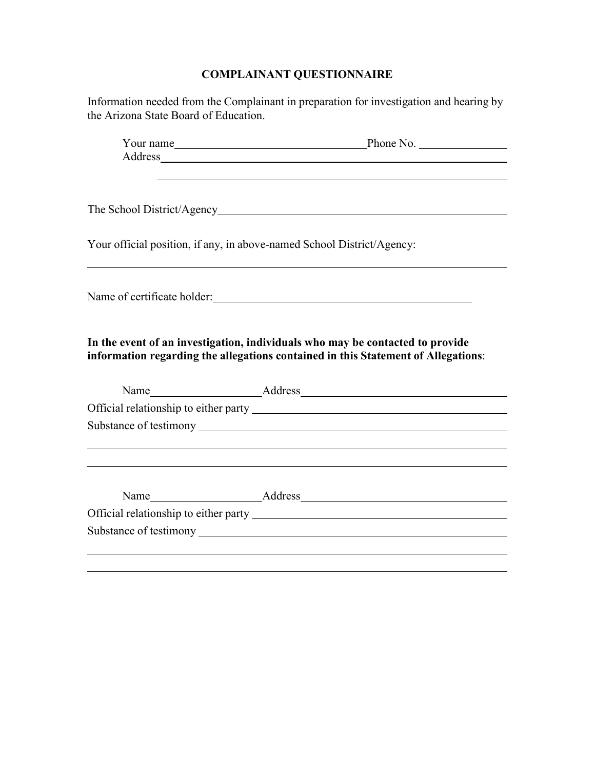# **COMPLAINANT QUESTIONNAIRE**

| Information needed from the Complainant in preparation for investigation and hearing by<br>the Arizona State Board of Education.                                   |                                                                                                                                                                                                                                |  |  |  |
|--------------------------------------------------------------------------------------------------------------------------------------------------------------------|--------------------------------------------------------------------------------------------------------------------------------------------------------------------------------------------------------------------------------|--|--|--|
|                                                                                                                                                                    | Your name Phone No.                                                                                                                                                                                                            |  |  |  |
|                                                                                                                                                                    | Address and the contract of the contract of the contract of the contract of the contract of the contract of the contract of the contract of the contract of the contract of the contract of the contract of the contract of th |  |  |  |
|                                                                                                                                                                    |                                                                                                                                                                                                                                |  |  |  |
|                                                                                                                                                                    |                                                                                                                                                                                                                                |  |  |  |
| Your official position, if any, in above-named School District/Agency:                                                                                             |                                                                                                                                                                                                                                |  |  |  |
|                                                                                                                                                                    |                                                                                                                                                                                                                                |  |  |  |
| In the event of an investigation, individuals who may be contacted to provide<br>information regarding the allegations contained in this Statement of Allegations: |                                                                                                                                                                                                                                |  |  |  |
|                                                                                                                                                                    | Name Address Address                                                                                                                                                                                                           |  |  |  |
|                                                                                                                                                                    |                                                                                                                                                                                                                                |  |  |  |
|                                                                                                                                                                    |                                                                                                                                                                                                                                |  |  |  |
|                                                                                                                                                                    |                                                                                                                                                                                                                                |  |  |  |
|                                                                                                                                                                    |                                                                                                                                                                                                                                |  |  |  |
|                                                                                                                                                                    |                                                                                                                                                                                                                                |  |  |  |
|                                                                                                                                                                    |                                                                                                                                                                                                                                |  |  |  |
|                                                                                                                                                                    |                                                                                                                                                                                                                                |  |  |  |
|                                                                                                                                                                    |                                                                                                                                                                                                                                |  |  |  |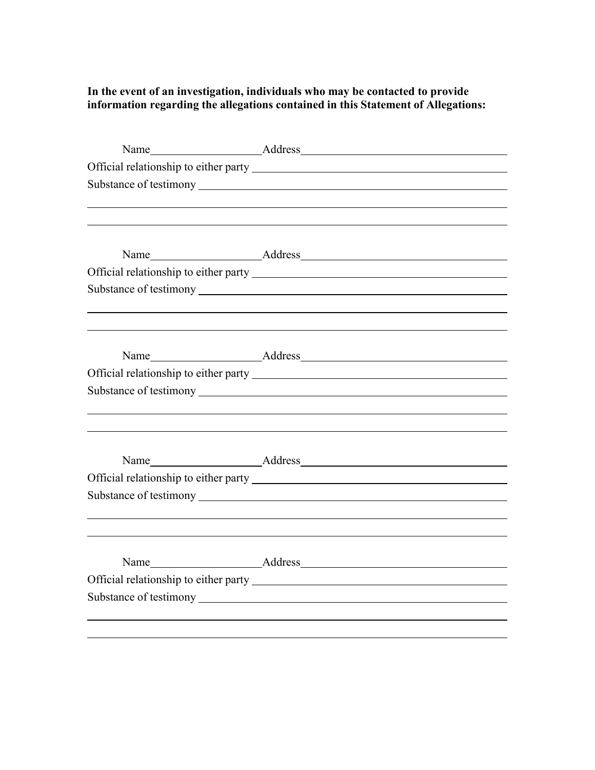# **In the event of an investigation, individuals who may be contacted to provide information regarding the allegations contained in this Statement of Allegations:**

| <u> 1989 - Johann Stoff, deutscher Stoffen und der Stoffen und der Stoffen und der Stoffen und der Stoffen und der</u> |
|------------------------------------------------------------------------------------------------------------------------|
|                                                                                                                        |
|                                                                                                                        |
|                                                                                                                        |
|                                                                                                                        |
|                                                                                                                        |
|                                                                                                                        |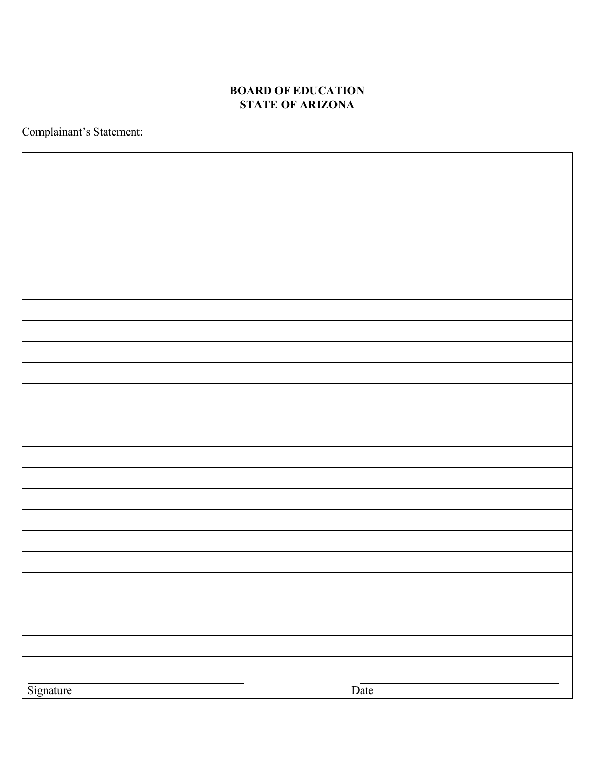# **BOARD OF EDUCATION STATE OF ARIZONA**

Complainant's Statement:

| Signature | Date |
|-----------|------|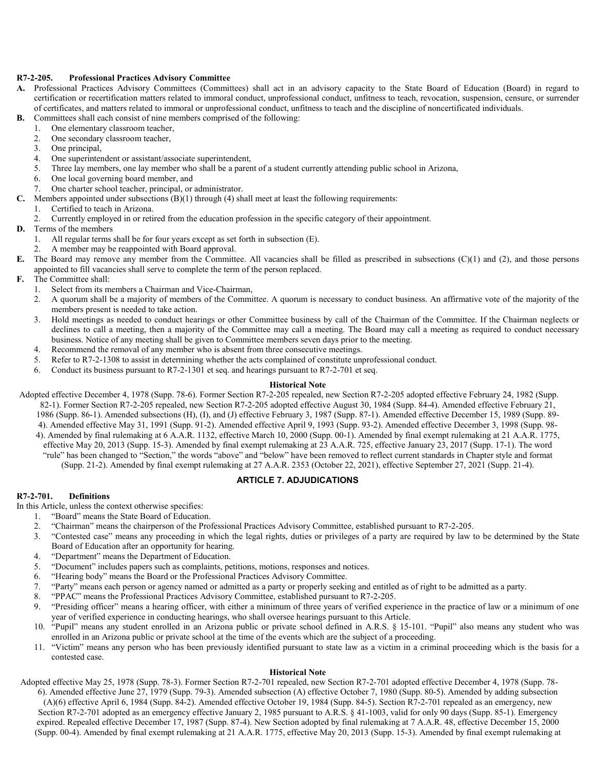# **R7-2-205. Professional Practices Advisory Committee**

- **A.** Professional Practices Advisory Committees (Committees) shall act in an advisory capacity to the State Board of Education (Board) in regard to certification or recertification matters related to immoral conduct, unprofessional conduct, unfitness to teach, revocation, suspension, censure, or surrender of certificates, and matters related to immoral or unprofessional conduct, unfitness to teach and the discipline of noncertificated individuals.
- **B.** Committees shall each consist of nine members comprised of the following:
	- 1. One elementary classroom teacher,
	- 2. One secondary classroom teacher,
	- 3. One principal,
	- 4. One superintendent or assistant/associate superintendent,
	- 5. Three lay members, one lay member who shall be a parent of a student currently attending public school in Arizona,
	- 6. One local governing board member, and
	- 7. One charter school teacher, principal, or administrator.
- **C.** Members appointed under subsections (B)(1) through (4) shall meet at least the following requirements:
	- 1. Certified to teach in Arizona.
	- 2. Currently employed in or retired from the education profession in the specific category of their appointment.
- **D.** Terms of the members
	- 1. All regular terms shall be for four years except as set forth in subsection (E).
	- 2. A member may be reappointed with Board approval.
- **E.** The Board may remove any member from the Committee. All vacancies shall be filled as prescribed in subsections (C)(1) and (2), and those persons appointed to fill vacancies shall serve to complete the term of the person replaced.
- **F.** The Committee shall:
	- 1. Select from its members a Chairman and Vice-Chairman,
	- 2. A quorum shall be a majority of members of the Committee. A quorum is necessary to conduct business. An affirmative vote of the majority of the members present is needed to take action.
	- 3. Hold meetings as needed to conduct hearings or other Committee business by call of the Chairman of the Committee. If the Chairman neglects or declines to call a meeting, then a majority of the Committee may call a meeting. The Board may call a meeting as required to conduct necessary business. Notice of any meeting shall be given to Committee members seven days prior to the meeting.
	- 4. Recommend the removal of any member who is absent from three consecutive meetings.
	- 5. Refer to R7-2-1308 to assist in determining whether the acts complained of constitute unprofessional conduct.
	- 6. Conduct its business pursuant to R7-2-1301 et seq. and hearings pursuant to R7-2-701 et seq.

## **Historical Note**

- Adopted effective December 4, 1978 (Supp. 78-6). Former Section R7-2-205 repealed, new Section R7-2-205 adopted effective February 24, 1982 (Supp. 82-1). Former Section R7-2-205 repealed, new Section R7-2-205 adopted effective August 30, 1984 (Supp. 84-4). Amended effective February 21, 1986 (Supp. 86-1). Amended subsections (H), (I), and (J) effective February 3, 1987 (Supp. 87-1). Amended effective December 15, 1989 (Supp. 89- 4). Amended effective May 31, 1991 (Supp. 91-2). Amended effective April 9, 1993 (Supp. 93-2). Amended effective December 3, 1998 (Supp. 98- 4). Amended by final rulemaking at 6 A.A.R. 1132, effective March 10, 2000 (Supp. 00-1). Amended by final exempt rulemaking at 21 A.A.R. 1775,
	- effective May 20, 2013 (Supp. 15-3). Amended by final exempt rulemaking at 23 A.A.R. 725, effective January 23, 2017 (Supp. 17-1). The word "rule" has been changed to "Section," the words "above" and "below" have been removed to reflect current standards in Chapter style and format (Supp. 21-2). Amended by final exempt rulemaking at 27 A.A.R. 2353 (October 22, 2021), effective September 27, 2021 (Supp. 21-4).

# **ARTICLE 7. ADJUDICATIONS**

# **R7-2-701. Definitions**

In this Article, unless the context otherwise specifies:

- 1. "Board" means the State Board of Education.
- 2. "Chairman" means the chairperson of the Professional Practices Advisory Committee, established pursuant to R7-2-205.
- 3. "Contested case" means any proceeding in which the legal rights, duties or privileges of a party are required by law to be determined by the State Board of Education after an opportunity for hearing.
- 4. "Department" means the Department of Education.
- 5. "Document" includes papers such as complaints, petitions, motions, responses and notices.
- 6. "Hearing body" means the Board or the Professional Practices Advisory Committee.
- 7. "Party" means each person or agency named or admitted as a party or properly seeking and entitled as of right to be admitted as a party.
- 8. "PPAC" means the Professional Practices Advisory Committee, established pursuant to R7-2-205.
- 9. "Presiding officer" means a hearing officer, with either a minimum of three years of verified experience in the practice of law or a minimum of one year of verified experience in conducting hearings, who shall oversee hearings pursuant to this Article.
- 10. "Pupil" means any student enrolled in an Arizona public or private school defined in A.R.S. § 15-101. "Pupil" also means any student who was enrolled in an Arizona public or private school at the time of the events which are the subject of a proceeding.
- 11. "Victim" means any person who has been previously identified pursuant to state law as a victim in a criminal proceeding which is the basis for a contested case.

#### **Historical Note**

Adopted effective May 25, 1978 (Supp. 78-3). Former Section R7-2-701 repealed, new Section R7-2-701 adopted effective December 4, 1978 (Supp. 78- 6). Amended effective June 27, 1979 (Supp. 79-3). Amended subsection (A) effective October 7, 1980 (Supp. 80-5). Amended by adding subsection (A)(6) effective April 6, 1984 (Supp. 84-2). Amended effective October 19, 1984 (Supp. 84-5). Section R7-2-701 repealed as an emergency, new Section R7-2-701 adopted as an emergency effective January 2, 1985 pursuant to A.R.S. § 41-1003, valid for only 90 days (Supp. 85-1). Emergency expired. Repealed effective December 17, 1987 (Supp. 87-4). New Section adopted by final rulemaking at 7 A.A.R. 48, effective December 15, 2000 (Supp. 00-4). Amended by final exempt rulemaking at 21 A.A.R. 1775, effective May 20, 2013 (Supp. 15-3). Amended by final exempt rulemaking at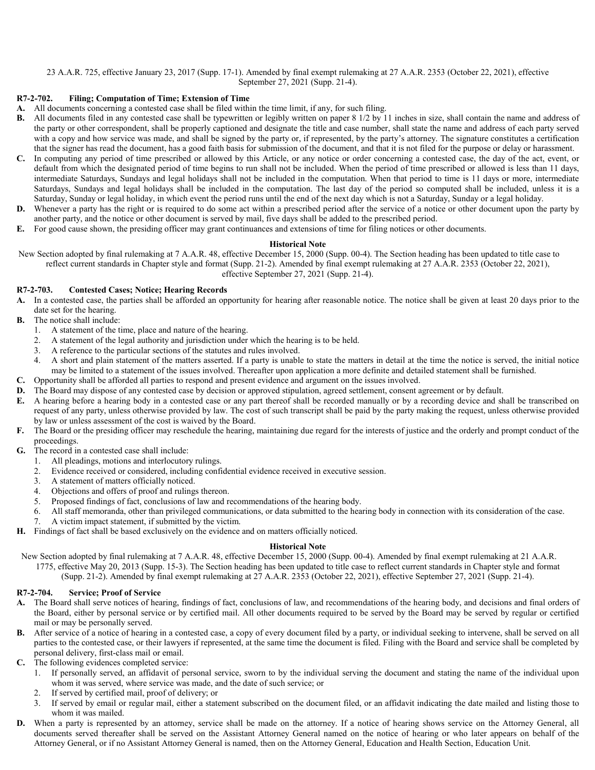# 23 A.A.R. 725, effective January 23, 2017 (Supp. 17-1). Amended by final exempt rulemaking at 27 A.A.R. 2353 (October 22, 2021), effective September 27, 2021 (Supp. 21-4).

# **R7-2-702. Filing; Computation of Time; Extension of Time**

- **A.** All documents concerning a contested case shall be filed within the time limit, if any, for such filing.
- **B.** All documents filed in any contested case shall be typewritten or legibly written on paper 8 1/2 by 11 inches in size, shall contain the name and address of the party or other correspondent, shall be properly captioned and designate the title and case number, shall state the name and address of each party served with a copy and how service was made, and shall be signed by the party or, if represented, by the party's attorney. The signature constitutes a certification that the signer has read the document, has a good faith basis for submission of the document, and that it is not filed for the purpose or delay or harassment.
- **C.** In computing any period of time prescribed or allowed by this Article, or any notice or order concerning a contested case, the day of the act, event, or default from which the designated period of time begins to run shall not be included. When the period of time prescribed or allowed is less than 11 days, intermediate Saturdays, Sundays and legal holidays shall not be included in the computation. When that period to time is 11 days or more, intermediate Saturdays, Sundays and legal holidays shall be included in the computation. The last day of the period so computed shall be included, unless it is a Saturday, Sunday or legal holiday, in which event the period runs until the end of the next day which is not a Saturday, Sunday or a legal holiday.
- **D.** Whenever a party has the right or is required to do some act within a prescribed period after the service of a notice or other document upon the party by another party, and the notice or other document is served by mail, five days shall be added to the prescribed period.
- **E.** For good cause shown, the presiding officer may grant continuances and extensions of time for filing notices or other documents.

# **Historical Note**

New Section adopted by final rulemaking at 7 A.A.R. 48, effective December 15, 2000 (Supp. 00-4). The Section heading has been updated to title case to reflect current standards in Chapter style and format (Supp. 21-2). Amended by final exempt rulemaking at 27 A.A.R. 2353 (October 22, 2021), effective September 27, 2021 (Supp. 21-4).

# **R7-2-703. Contested Cases; Notice; Hearing Records**

- **A.** In a contested case, the parties shall be afforded an opportunity for hearing after reasonable notice. The notice shall be given at least 20 days prior to the date set for the hearing.
- **B.** The notice shall include:
	- 1. A statement of the time, place and nature of the hearing.
	- 2. A statement of the legal authority and jurisdiction under which the hearing is to be held.
	- 3. A reference to the particular sections of the statutes and rules involved.
	- 4. A short and plain statement of the matters asserted. If a party is unable to state the matters in detail at the time the notice is served, the initial notice may be limited to a statement of the issues involved. Thereafter upon application a more definite and detailed statement shall be furnished.
- **C.** Opportunity shall be afforded all parties to respond and present evidence and argument on the issues involved.
- **D.** The Board may dispose of any contested case by decision or approved stipulation, agreed settlement, consent agreement or by default.
- A hearing before a hearing body in a contested case or any part thereof shall be recorded manually or by a recording device and shall be transcribed on request of any party, unless otherwise provided by law. The cost of such transcript shall be paid by the party making the request, unless otherwise provided by law or unless assessment of the cost is waived by the Board.
- **F.** The Board or the presiding officer may reschedule the hearing, maintaining due regard for the interests of justice and the orderly and prompt conduct of the proceedings.
- **G.** The record in a contested case shall include:
	- 1. All pleadings, motions and interlocutory rulings.
	- 2. Evidence received or considered, including confidential evidence received in executive session.
	- 3. A statement of matters officially noticed.
	- 4. Objections and offers of proof and rulings thereon.
	- 5. Proposed findings of fact, conclusions of law and recommendations of the hearing body.
	- 6. All staff memoranda, other than privileged communications, or data submitted to the hearing body in connection with its consideration of the case.
		- 7. A victim impact statement, if submitted by the victim.
- **H.** Findings of fact shall be based exclusively on the evidence and on matters officially noticed.

# **Historical Note**

New Section adopted by final rulemaking at 7 A.A.R. 48, effective December 15, 2000 (Supp. 00-4). Amended by final exempt rulemaking at 21 A.A.R. 1775, effective May 20, 2013 (Supp. 15-3). The Section heading has been updated to title case to reflect current standards in Chapter style and format

(Supp. 21-2). Amended by final exempt rulemaking at 27 A.A.R. 2353 (October 22, 2021), effective September 27, 2021 (Supp. 21-4).

# **R7-2-704. Service; Proof of Service**

- **A.** The Board shall serve notices of hearing, findings of fact, conclusions of law, and recommendations of the hearing body, and decisions and final orders of the Board, either by personal service or by certified mail. All other documents required to be served by the Board may be served by regular or certified mail or may be personally served.
- **B.** After service of a notice of hearing in a contested case, a copy of every document filed by a party, or individual seeking to intervene, shall be served on all parties to the contested case, or their lawyers if represented, at the same time the document is filed. Filing with the Board and service shall be completed by personal delivery, first-class mail or email.
- **C.** The following evidences completed service:
	- 1. If personally served, an affidavit of personal service, sworn to by the individual serving the document and stating the name of the individual upon whom it was served, where service was made, and the date of such service; or
	- 2. If served by certified mail, proof of delivery; or
	- 3. If served by email or regular mail, either a statement subscribed on the document filed, or an affidavit indicating the date mailed and listing those to whom it was mailed.
- **D.** When a party is represented by an attorney, service shall be made on the attorney. If a notice of hearing shows service on the Attorney General, all documents served thereafter shall be served on the Assistant Attorney General named on the notice of hearing or who later appears on behalf of the Attorney General, or if no Assistant Attorney General is named, then on the Attorney General, Education and Health Section, Education Unit.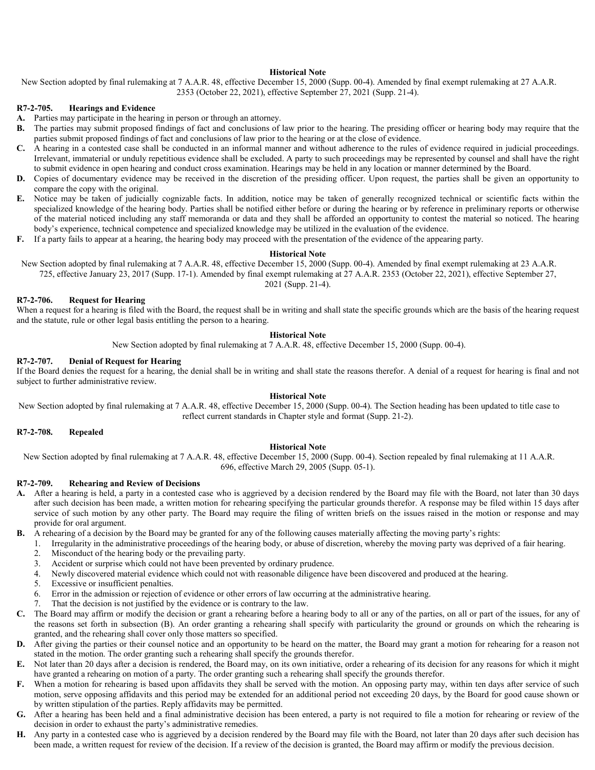New Section adopted by final rulemaking at 7 A.A.R. 48, effective December 15, 2000 (Supp. 00-4). Amended by final exempt rulemaking at 27 A.A.R. 2353 (October 22, 2021), effective September 27, 2021 (Supp. 21-4).

#### **R7-2-705. Hearings and Evidence**

- **A.** Parties may participate in the hearing in person or through an attorney.
- **B.** The parties may submit proposed findings of fact and conclusions of law prior to the hearing. The presiding officer or hearing body may require that the parties submit proposed findings of fact and conclusions of law prior to the hearing or at the close of evidence.
- **C.** A hearing in a contested case shall be conducted in an informal manner and without adherence to the rules of evidence required in judicial proceedings. Irrelevant, immaterial or unduly repetitious evidence shall be excluded. A party to such proceedings may be represented by counsel and shall have the right to submit evidence in open hearing and conduct cross examination. Hearings may be held in any location or manner determined by the Board.
- **D.** Copies of documentary evidence may be received in the discretion of the presiding officer. Upon request, the parties shall be given an opportunity to compare the copy with the original.
- **E.** Notice may be taken of judicially cognizable facts. In addition, notice may be taken of generally recognized technical or scientific facts within the specialized knowledge of the hearing body. Parties shall be notified either before or during the hearing or by reference in preliminary reports or otherwise of the material noticed including any staff memoranda or data and they shall be afforded an opportunity to contest the material so noticed. The hearing body's experience, technical competence and specialized knowledge may be utilized in the evaluation of the evidence.
- **F.** If a party fails to appear at a hearing, the hearing body may proceed with the presentation of the evidence of the appearing party.

#### **Historical Note**

New Section adopted by final rulemaking at 7 A.A.R. 48, effective December 15, 2000 (Supp. 00-4). Amended by final exempt rulemaking at 23 A.A.R. 725, effective January 23, 2017 (Supp. 17-1). Amended by final exempt rulemaking at 27 A.A.R. 2353 (October 22, 2021), effective September 27,

# 2021 (Supp. 21-4).

# **R7-2-706. Request for Hearing**

When a request for a hearing is filed with the Board, the request shall be in writing and shall state the specific grounds which are the basis of the hearing request and the statute, rule or other legal basis entitling the person to a hearing.

#### **Historical Note**

New Section adopted by final rulemaking at 7 A.A.R. 48, effective December 15, 2000 (Supp. 00-4).

# **R7-2-707. Denial of Request for Hearing**

If the Board denies the request for a hearing, the denial shall be in writing and shall state the reasons therefor. A denial of a request for hearing is final and not subject to further administrative review.

### **Historical Note**

New Section adopted by final rulemaking at 7 A.A.R. 48, effective December 15, 2000 (Supp. 00-4). The Section heading has been updated to title case to reflect current standards in Chapter style and format (Supp. 21-2).

# **R7-2-708. Repealed**

#### **Historical Note**

New Section adopted by final rulemaking at 7 A.A.R. 48, effective December 15, 2000 (Supp. 00-4). Section repealed by final rulemaking at 11 A.A.R. 696, effective March 29, 2005 (Supp. 05-1).

## **R7-2-709. Rehearing and Review of Decisions**

- **A.** After a hearing is held, a party in a contested case who is aggrieved by a decision rendered by the Board may file with the Board, not later than 30 days after such decision has been made, a written motion for rehearing specifying the particular grounds therefor. A response may be filed within 15 days after service of such motion by any other party. The Board may require the filing of written briefs on the issues raised in the motion or response and may provide for oral argument.
- **B.** A rehearing of a decision by the Board may be granted for any of the following causes materially affecting the moving party's rights:
	- 1. Irregularity in the administrative proceedings of the hearing body, or abuse of discretion, whereby the moving party was deprived of a fair hearing.
	- 2. Misconduct of the hearing body or the prevailing party.
	- 3. Accident or surprise which could not have been prevented by ordinary prudence.
	- 4. Newly discovered material evidence which could not with reasonable diligence have been discovered and produced at the hearing.
	- 5. Excessive or insufficient penalties.
	- 6. Error in the admission or rejection of evidence or other errors of law occurring at the administrative hearing.
	- 7. That the decision is not justified by the evidence or is contrary to the law.
- **C.** The Board may affirm or modify the decision or grant a rehearing before a hearing body to all or any of the parties, on all or part of the issues, for any of the reasons set forth in subsection (B). An order granting a rehearing shall specify with particularity the ground or grounds on which the rehearing is granted, and the rehearing shall cover only those matters so specified.
- **D.** After giving the parties or their counsel notice and an opportunity to be heard on the matter, the Board may grant a motion for rehearing for a reason not stated in the motion. The order granting such a rehearing shall specify the grounds therefor.
- **E.** Not later than 20 days after a decision is rendered, the Board may, on its own initiative, order a rehearing of its decision for any reasons for which it might have granted a rehearing on motion of a party. The order granting such a rehearing shall specify the grounds therefor.
- **F.** When a motion for rehearing is based upon affidavits they shall be served with the motion. An opposing party may, within ten days after service of such motion, serve opposing affidavits and this period may be extended for an additional period not exceeding 20 days, by the Board for good cause shown or by written stipulation of the parties. Reply affidavits may be permitted.
- **G.** After a hearing has been held and a final administrative decision has been entered, a party is not required to file a motion for rehearing or review of the decision in order to exhaust the party's administrative remedies.
- **H.** Any party in a contested case who is aggrieved by a decision rendered by the Board may file with the Board, not later than 20 days after such decision has been made, a written request for review of the decision. If a review of the decision is granted, the Board may affirm or modify the previous decision.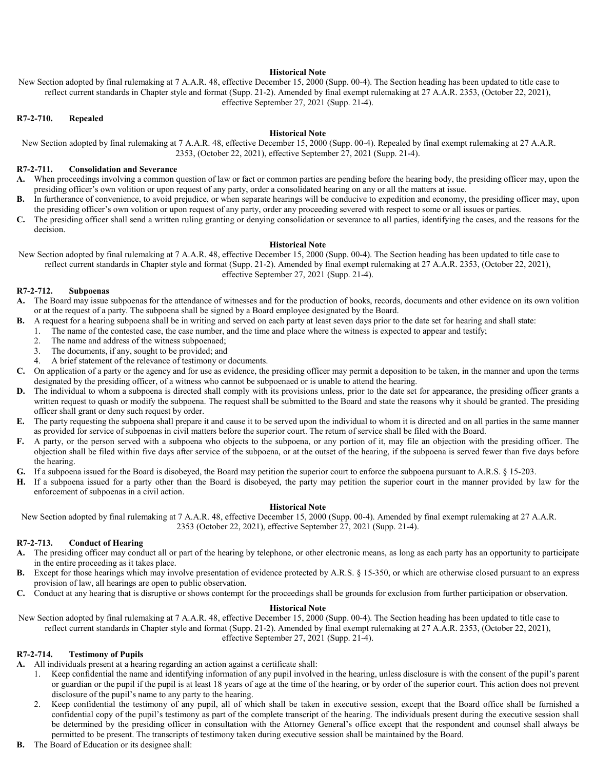New Section adopted by final rulemaking at 7 A.A.R. 48, effective December 15, 2000 (Supp. 00-4). The Section heading has been updated to title case to reflect current standards in Chapter style and format (Supp. 21-2). Amended by final exempt rulemaking at 27 A.A.R. 2353, (October 22, 2021), effective September 27, 2021 (Supp. 21-4).

# **R7-2-710. Repealed**

# **Historical Note**

New Section adopted by final rulemaking at 7 A.A.R. 48, effective December 15, 2000 (Supp. 00-4). Repealed by final exempt rulemaking at 27 A.A.R. 2353, (October 22, 2021), effective September 27, 2021 (Supp. 21-4).

## **R7-2-711. Consolidation and Severance**

- **A.** When proceedings involving a common question of law or fact or common parties are pending before the hearing body, the presiding officer may, upon the presiding officer's own volition or upon request of any party, order a consolidated hearing on any or all the matters at issue.
- **B.** In furtherance of convenience, to avoid prejudice, or when separate hearings will be conducive to expedition and economy, the presiding officer may, upon the presiding officer's own volition or upon request of any party, order any proceeding severed with respect to some or all issues or parties.
- **C.** The presiding officer shall send a written ruling granting or denying consolidation or severance to all parties, identifying the cases, and the reasons for the decision.

### **Historical Note**

New Section adopted by final rulemaking at 7 A.A.R. 48, effective December 15, 2000 (Supp. 00-4). The Section heading has been updated to title case to reflect current standards in Chapter style and format (Supp. 21-2). Amended by final exempt rulemaking at 27 A.A.R. 2353, (October 22, 2021), effective September 27, 2021 (Supp. 21-4).

# **R7-2-712. Subpoenas**

- **A.** The Board may issue subpoenas for the attendance of witnesses and for the production of books, records, documents and other evidence on its own volition or at the request of a party. The subpoena shall be signed by a Board employee designated by the Board.
- **B.** A request for a hearing subpoena shall be in writing and served on each party at least seven days prior to the date set for hearing and shall state:
	- 1. The name of the contested case, the case number, and the time and place where the witness is expected to appear and testify;
		- 2. The name and address of the witness subpoenaed;
		- 3. The documents, if any, sought to be provided; and
		- 4. A brief statement of the relevance of testimony or documents.
- **C.** On application of a party or the agency and for use as evidence, the presiding officer may permit a deposition to be taken, in the manner and upon the terms designated by the presiding officer, of a witness who cannot be subpoenaed or is unable to attend the hearing.
- **D.** The individual to whom a subpoena is directed shall comply with its provisions unless, prior to the date set for appearance, the presiding officer grants a written request to quash or modify the subpoena. The request shall be submitted to the Board and state the reasons why it should be granted. The presiding officer shall grant or deny such request by order.
- **E.** The party requesting the subpoena shall prepare it and cause it to be served upon the individual to whom it is directed and on all parties in the same manner as provided for service of subpoenas in civil matters before the superior court. The return of service shall be filed with the Board.
- **F.** A party, or the person served with a subpoena who objects to the subpoena, or any portion of it, may file an objection with the presiding officer. The objection shall be filed within five days after service of the subpoena, or at the outset of the hearing, if the subpoena is served fewer than five days before the hearing.
- **G.** If a subpoena issued for the Board is disobeyed, the Board may petition the superior court to enforce the subpoena pursuant to A.R.S. § 15-203.
- **H.** If a subpoena issued for a party other than the Board is disobeyed, the party may petition the superior court in the manner provided by law for the enforcement of subpoenas in a civil action.

## **Historical Note**

New Section adopted by final rulemaking at 7 A.A.R. 48, effective December 15, 2000 (Supp. 00-4). Amended by final exempt rulemaking at 27 A.A.R. 2353 (October 22, 2021), effective September 27, 2021 (Supp. 21-4).

#### **R7-2-713. Conduct of Hearing**

- **A.** The presiding officer may conduct all or part of the hearing by telephone, or other electronic means, as long as each party has an opportunity to participate in the entire proceeding as it takes place.
- **B.** Except for those hearings which may involve presentation of evidence protected by A.R.S. § 15-350, or which are otherwise closed pursuant to an express provision of law, all hearings are open to public observation.
- **C.** Conduct at any hearing that is disruptive or shows contempt for the proceedings shall be grounds for exclusion from further participation or observation.

# **Historical Note**

New Section adopted by final rulemaking at 7 A.A.R. 48, effective December 15, 2000 (Supp. 00-4). The Section heading has been updated to title case to reflect current standards in Chapter style and format (Supp. 21-2). Amended by final exempt rulemaking at 27 A.A.R. 2353, (October 22, 2021), effective September 27, 2021 (Supp. 21-4).

# **R7-2-714. Testimony of Pupils**

**A.** All individuals present at a hearing regarding an action against a certificate shall:

- 1. Keep confidential the name and identifying information of any pupil involved in the hearing, unless disclosure is with the consent of the pupil's parent or guardian or the pupil if the pupil is at least 18 years of age at the time of the hearing, or by order of the superior court. This action does not prevent disclosure of the pupil's name to any party to the hearing.
- 2. Keep confidential the testimony of any pupil, all of which shall be taken in executive session, except that the Board office shall be furnished a confidential copy of the pupil's testimony as part of the complete transcript of the hearing. The individuals present during the executive session shall be determined by the presiding officer in consultation with the Attorney General's office except that the respondent and counsel shall always be permitted to be present. The transcripts of testimony taken during executive session shall be maintained by the Board.
- **B.** The Board of Education or its designee shall: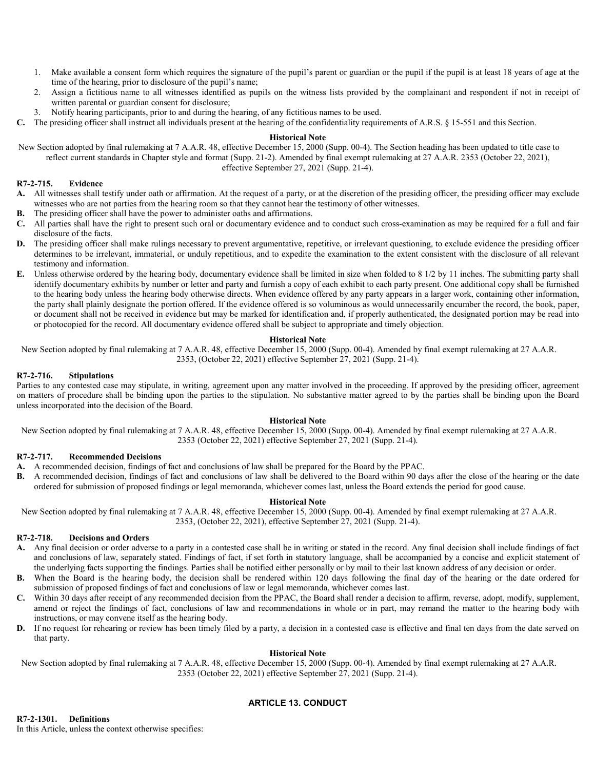- 1. Make available a consent form which requires the signature of the pupil's parent or guardian or the pupil if the pupil is at least 18 years of age at the time of the hearing, prior to disclosure of the pupil's name;
- 2. Assign a fictitious name to all witnesses identified as pupils on the witness lists provided by the complainant and respondent if not in receipt of written parental or guardian consent for disclosure;
- 3. Notify hearing participants, prior to and during the hearing, of any fictitious names to be used.
- **C.** The presiding officer shall instruct all individuals present at the hearing of the confidentiality requirements of A.R.S. § 15-551 and this Section.

New Section adopted by final rulemaking at 7 A.A.R. 48, effective December 15, 2000 (Supp. 00-4). The Section heading has been updated to title case to reflect current standards in Chapter style and format (Supp. 21-2). Amended by final exempt rulemaking at 27 A.A.R. 2353 (October 22, 2021), effective September 27, 2021 (Supp. 21-4).

#### **R7-2-715. Evidence**

- **A.** All witnesses shall testify under oath or affirmation. At the request of a party, or at the discretion of the presiding officer, the presiding officer may exclude witnesses who are not parties from the hearing room so that they cannot hear the testimony of other witnesses.
- **B.** The presiding officer shall have the power to administer oaths and affirmations.
- **C.** All parties shall have the right to present such oral or documentary evidence and to conduct such cross-examination as may be required for a full and fair disclosure of the facts.
- **D.** The presiding officer shall make rulings necessary to prevent argumentative, repetitive, or irrelevant questioning, to exclude evidence the presiding officer determines to be irrelevant, immaterial, or unduly repetitious, and to expedite the examination to the extent consistent with the disclosure of all relevant testimony and information.
- **E.** Unless otherwise ordered by the hearing body, documentary evidence shall be limited in size when folded to 8 1/2 by 11 inches. The submitting party shall identify documentary exhibits by number or letter and party and furnish a copy of each exhibit to each party present. One additional copy shall be furnished to the hearing body unless the hearing body otherwise directs. When evidence offered by any party appears in a larger work, containing other information, the party shall plainly designate the portion offered. If the evidence offered is so voluminous as would unnecessarily encumber the record, the book, paper, or document shall not be received in evidence but may be marked for identification and, if properly authenticated, the designated portion may be read into or photocopied for the record. All documentary evidence offered shall be subject to appropriate and timely objection.

#### **Historical Note**

New Section adopted by final rulemaking at 7 A.A.R. 48, effective December 15, 2000 (Supp. 00-4). Amended by final exempt rulemaking at 27 A.A.R. 2353, (October 22, 2021) effective September 27, 2021 (Supp. 21-4).

### **R7-2-716. Stipulations**

Parties to any contested case may stipulate, in writing, agreement upon any matter involved in the proceeding. If approved by the presiding officer, agreement on matters of procedure shall be binding upon the parties to the stipulation. No substantive matter agreed to by the parties shall be binding upon the Board unless incorporated into the decision of the Board.

### **Historical Note**

New Section adopted by final rulemaking at 7 A.A.R. 48, effective December 15, 2000 (Supp. 00-4). Amended by final exempt rulemaking at 27 A.A.R. 2353 (October 22, 2021) effective September 27, 2021 (Supp. 21-4).

# **R7-2-717. Recommended Decisions**

- **A.** A recommended decision, findings of fact and conclusions of law shall be prepared for the Board by the PPAC.
- **B.** A recommended decision, findings of fact and conclusions of law shall be delivered to the Board within 90 days after the close of the hearing or the date ordered for submission of proposed findings or legal memoranda, whichever comes last, unless the Board extends the period for good cause.

#### **Historical Note**

New Section adopted by final rulemaking at 7 A.A.R. 48, effective December 15, 2000 (Supp. 00-4). Amended by final exempt rulemaking at 27 A.A.R. 2353, (October 22, 2021), effective September 27, 2021 (Supp. 21-4).

#### **R7-2-718. Decisions and Orders**

- **A.** Any final decision or order adverse to a party in a contested case shall be in writing or stated in the record. Any final decision shall include findings of fact and conclusions of law, separately stated. Findings of fact, if set forth in statutory language, shall be accompanied by a concise and explicit statement of the underlying facts supporting the findings. Parties shall be notified either personally or by mail to their last known address of any decision or order.
- **B.** When the Board is the hearing body, the decision shall be rendered within 120 days following the final day of the hearing or the date ordered for submission of proposed findings of fact and conclusions of law or legal memoranda, whichever comes last.
- **C.** Within 30 days after receipt of any recommended decision from the PPAC, the Board shall render a decision to affirm, reverse, adopt, modify, supplement, amend or reject the findings of fact, conclusions of law and recommendations in whole or in part, may remand the matter to the hearing body with instructions, or may convene itself as the hearing body.
- **D.** If no request for rehearing or review has been timely filed by a party, a decision in a contested case is effective and final ten days from the date served on that party.

#### **Historical Note**

New Section adopted by final rulemaking at 7 A.A.R. 48, effective December 15, 2000 (Supp. 00-4). Amended by final exempt rulemaking at 27 A.A.R. 2353 (October 22, 2021) effective September 27, 2021 (Supp. 21-4).

# **ARTICLE 13. CONDUCT**

**R7-2-1301. Definitions** In this Article, unless the context otherwise specifies: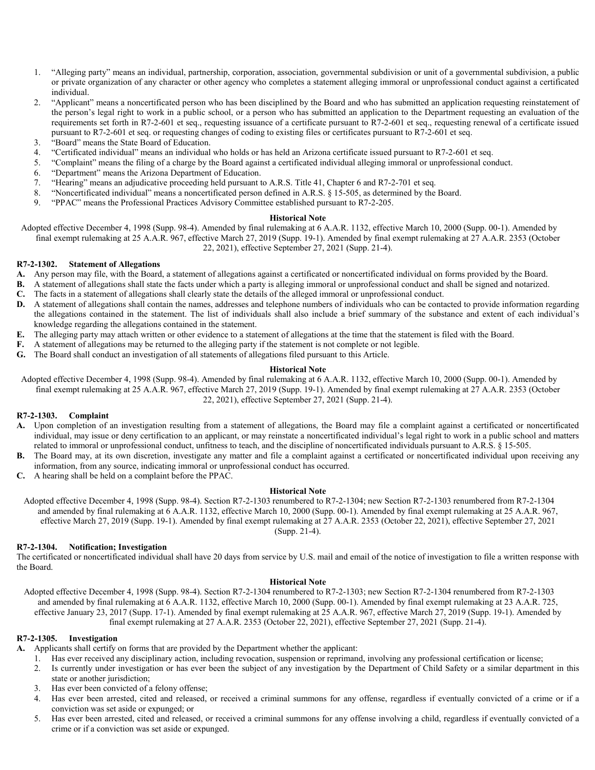- 1. "Alleging party" means an individual, partnership, corporation, association, governmental subdivision or unit of a governmental subdivision, a public or private organization of any character or other agency who completes a statement alleging immoral or unprofessional conduct against a certificated individual.
- 2. "Applicant" means a noncertificated person who has been disciplined by the Board and who has submitted an application requesting reinstatement of the person's legal right to work in a public school, or a person who has submitted an application to the Department requesting an evaluation of the requirements set forth in R7-2-601 et seq., requesting issuance of a certificate pursuant to R7-2-601 et seq., requesting renewal of a certificate issued pursuant to R7-2-601 et seq. or requesting changes of coding to existing files or certificates pursuant to R7-2-601 et seq.
- 3. "Board" means the State Board of Education.
- 4. "Certificated individual" means an individual who holds or has held an Arizona certificate issued pursuant to R7-2-601 et seq.
- 5. "Complaint" means the filing of a charge by the Board against a certificated individual alleging immoral or unprofessional conduct.
- 6. "Department" means the Arizona Department of Education.
- 7. "Hearing" means an adjudicative proceeding held pursuant to A.R.S. Title 41, Chapter 6 and R7-2-701 et seq.
- 8. "Noncertificated individual" means a noncertificated person defined in A.R.S. § 15-505, as determined by the Board.
- 9. "PPAC" means the Professional Practices Advisory Committee established pursuant to R7-2-205.

Adopted effective December 4, 1998 (Supp. 98-4). Amended by final rulemaking at 6 A.A.R. 1132, effective March 10, 2000 (Supp. 00-1). Amended by final exempt rulemaking at 25 A.A.R. 967, effective March 27, 2019 (Supp. 19-1). Amended by final exempt rulemaking at 27 A.A.R. 2353 (October 22, 2021), effective September 27, 2021 (Supp. 21-4).

#### **R7-2-1302. Statement of Allegations**

- **A.** Any person may file, with the Board, a statement of allegations against a certificated or noncertificated individual on forms provided by the Board.
- **B.** A statement of allegations shall state the facts under which a party is alleging immoral or unprofessional conduct and shall be signed and notarized.
- **C.** The facts in a statement of allegations shall clearly state the details of the alleged immoral or unprofessional conduct.
- **D.** A statement of allegations shall contain the names, addresses and telephone numbers of individuals who can be contacted to provide information regarding the allegations contained in the statement. The list of individuals shall also include a brief summary of the substance and extent of each individual's knowledge regarding the allegations contained in the statement.
- **E.** The alleging party may attach written or other evidence to a statement of allegations at the time that the statement is filed with the Board.
- **F.** A statement of allegations may be returned to the alleging party if the statement is not complete or not legible.
- **G.** The Board shall conduct an investigation of all statements of allegations filed pursuant to this Article.

### **Historical Note**

Adopted effective December 4, 1998 (Supp. 98-4). Amended by final rulemaking at 6 A.A.R. 1132, effective March 10, 2000 (Supp. 00-1). Amended by final exempt rulemaking at 25 A.A.R. 967, effective March 27, 2019 (Supp. 19-1). Amended by final exempt rulemaking at 27 A.A.R. 2353 (October 22, 2021), effective September 27, 2021 (Supp. 21-4).

# **R7-2-1303. Complaint**

- **A.** Upon completion of an investigation resulting from a statement of allegations, the Board may file a complaint against a certificated or noncertificated individual, may issue or deny certification to an applicant, or may reinstate a noncertificated individual's legal right to work in a public school and matters related to immoral or unprofessional conduct, unfitness to teach, and the discipline of noncertificated individuals pursuant to A.R.S. § 15-505.
- **B.** The Board may, at its own discretion, investigate any matter and file a complaint against a certificated or noncertificated individual upon receiving any information, from any source, indicating immoral or unprofessional conduct has occurred.
- **C.** A hearing shall be held on a complaint before the PPAC.

#### **Historical Note**

Adopted effective December 4, 1998 (Supp. 98-4). Section R7-2-1303 renumbered to R7-2-1304; new Section R7-2-1303 renumbered from R7-2-1304 and amended by final rulemaking at 6 A.A.R. 1132, effective March 10, 2000 (Supp. 00-1). Amended by final exempt rulemaking at 25 A.A.R. 967, effective March 27, 2019 (Supp. 19-1). Amended by final exempt rulemaking at 27 A.A.R. 2353 (October 22, 2021), effective September 27, 2021 (Supp. 21-4).

# **R7-2-1304. Notification; Investigation**

The certificated or noncertificated individual shall have 20 days from service by U.S. mail and email of the notice of investigation to file a written response with the Board.

#### **Historical Note**

Adopted effective December 4, 1998 (Supp. 98-4). Section R7-2-1304 renumbered to R7-2-1303; new Section R7-2-1304 renumbered from R7-2-1303 and amended by final rulemaking at 6 A.A.R. 1132, effective March 10, 2000 (Supp. 00-1). Amended by final exempt rulemaking at 23 A.A.R. 725, effective January 23, 2017 (Supp. 17-1). Amended by final exempt rulemaking at 25 A.A.R. 967, effective March 27, 2019 (Supp. 19-1). Amended by final exempt rulemaking at 27 A.A.R. 2353 (October 22, 2021), effective September 27, 2021 (Supp. 21-4).

#### **R7-2-1305. Investigation**

**A.** Applicants shall certify on forms that are provided by the Department whether the applicant:

- 1. Has ever received any disciplinary action, including revocation, suspension or reprimand, involving any professional certification or license;
- 2. Is currently under investigation or has ever been the subject of any investigation by the Department of Child Safety or a similar department in this state or another jurisdiction;
- 3. Has ever been convicted of a felony offense;
- 4. Has ever been arrested, cited and released, or received a criminal summons for any offense, regardless if eventually convicted of a crime or if a conviction was set aside or expunged; or
- 5. Has ever been arrested, cited and released, or received a criminal summons for any offense involving a child, regardless if eventually convicted of a crime or if a conviction was set aside or expunged.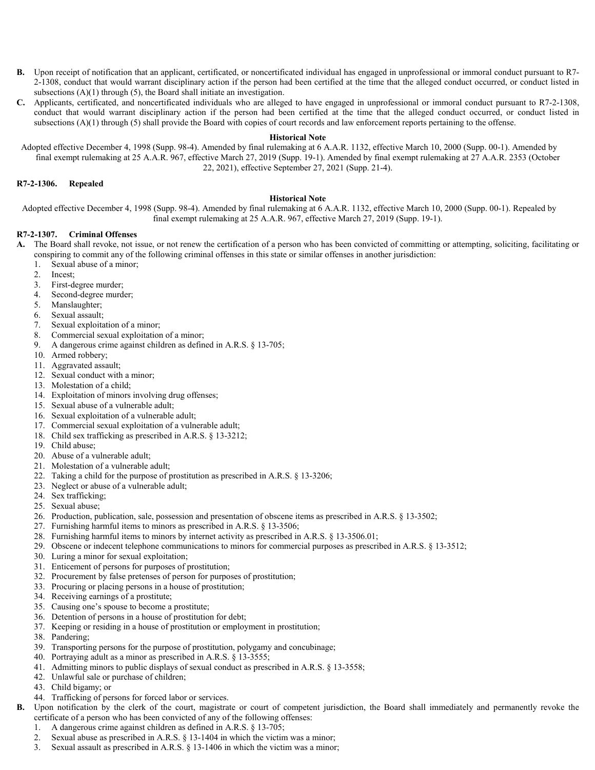- **B.** Upon receipt of notification that an applicant, certificated, or noncertificated individual has engaged in unprofessional or immoral conduct pursuant to R7- 2-1308, conduct that would warrant disciplinary action if the person had been certified at the time that the alleged conduct occurred, or conduct listed in subsections  $(A)(1)$  through  $(5)$ , the Board shall initiate an investigation.
- **C.** Applicants, certificated, and noncertificated individuals who are alleged to have engaged in unprofessional or immoral conduct pursuant to R7-2-1308, conduct that would warrant disciplinary action if the person had been certified at the time that the alleged conduct occurred, or conduct listed in subsections (A)(1) through (5) shall provide the Board with copies of court records and law enforcement reports pertaining to the offense.

Adopted effective December 4, 1998 (Supp. 98-4). Amended by final rulemaking at 6 A.A.R. 1132, effective March 10, 2000 (Supp. 00-1). Amended by final exempt rulemaking at 25 A.A.R. 967, effective March 27, 2019 (Supp. 19-1). Amended by final exempt rulemaking at 27 A.A.R. 2353 (October 22, 2021), effective September 27, 2021 (Supp. 21-4).

#### **R7-2-1306. Repealed**

#### **Historical Note**

Adopted effective December 4, 1998 (Supp. 98-4). Amended by final rulemaking at 6 A.A.R. 1132, effective March 10, 2000 (Supp. 00-1). Repealed by final exempt rulemaking at 25 A.A.R. 967, effective March 27, 2019 (Supp. 19-1).

# **R7-2-1307. Criminal Offenses**

- **A.** The Board shall revoke, not issue, or not renew the certification of a person who has been convicted of committing or attempting, soliciting, facilitating or conspiring to commit any of the following criminal offenses in this state or similar offenses in another jurisdiction:
	- 1. Sexual abuse of a minor;
	- 2. Incest;
	- 3. First-degree murder;
	- 4. Second-degree murder;
	- 5. Manslaughter;
	- 6. Sexual assault;
	- 7. Sexual exploitation of a minor;
	-
	- 8. Commercial sexual exploitation of a minor;<br>9. A dangerous crime against children as defin 9. A dangerous crime against children as defined in A.R.S. § 13-705;
	- 10. Armed robbery;
	- 11. Aggravated assault;
	- 12. Sexual conduct with a minor;
	- 13. Molestation of a child;
	- 14. Exploitation of minors involving drug offenses;
	- 15. Sexual abuse of a vulnerable adult;
	- 16. Sexual exploitation of a vulnerable adult;
	- 17. Commercial sexual exploitation of a vulnerable adult;
	- 18. Child sex trafficking as prescribed in A.R.S. § 13-3212;
	- 19. Child abuse;
	- 20. Abuse of a vulnerable adult;
	- 21. Molestation of a vulnerable adult;
	- 22. Taking a child for the purpose of prostitution as prescribed in A.R.S. § 13-3206;
	- 23. Neglect or abuse of a vulnerable adult;
	- 24. Sex trafficking;
	- 25. Sexual abuse;
	- 26. Production, publication, sale, possession and presentation of obscene items as prescribed in A.R.S. § 13-3502;
	- 27. Furnishing harmful items to minors as prescribed in A.R.S. § 13-3506;
	- 28. Furnishing harmful items to minors by internet activity as prescribed in A.R.S. § 13-3506.01;
	- 29. Obscene or indecent telephone communications to minors for commercial purposes as prescribed in A.R.S. § 13-3512;
	- 30. Luring a minor for sexual exploitation;
	- 31. Enticement of persons for purposes of prostitution;
	- 32. Procurement by false pretenses of person for purposes of prostitution;
	- 33. Procuring or placing persons in a house of prostitution;
	- 34. Receiving earnings of a prostitute;
	- 35. Causing one's spouse to become a prostitute;
	- 36. Detention of persons in a house of prostitution for debt;
	- 37. Keeping or residing in a house of prostitution or employment in prostitution;
	- 38. Pandering;
	- 39. Transporting persons for the purpose of prostitution, polygamy and concubinage;
	- 40. Portraying adult as a minor as prescribed in A.R.S. § 13-3555;
	- 41. Admitting minors to public displays of sexual conduct as prescribed in A.R.S. § 13-3558;
	- 42. Unlawful sale or purchase of children;
	- 43. Child bigamy; or
	- 44. Trafficking of persons for forced labor or services.
- **B.** Upon notification by the clerk of the court, magistrate or court of competent jurisdiction, the Board shall immediately and permanently revoke the certificate of a person who has been convicted of any of the following offenses:
	- 1. A dangerous crime against children as defined in A.R.S. § 13-705;
	- 2. Sexual abuse as prescribed in A.R.S. § 13-1404 in which the victim was a minor;
	- 3. Sexual assault as prescribed in A.R.S. § 13-1406 in which the victim was a minor;